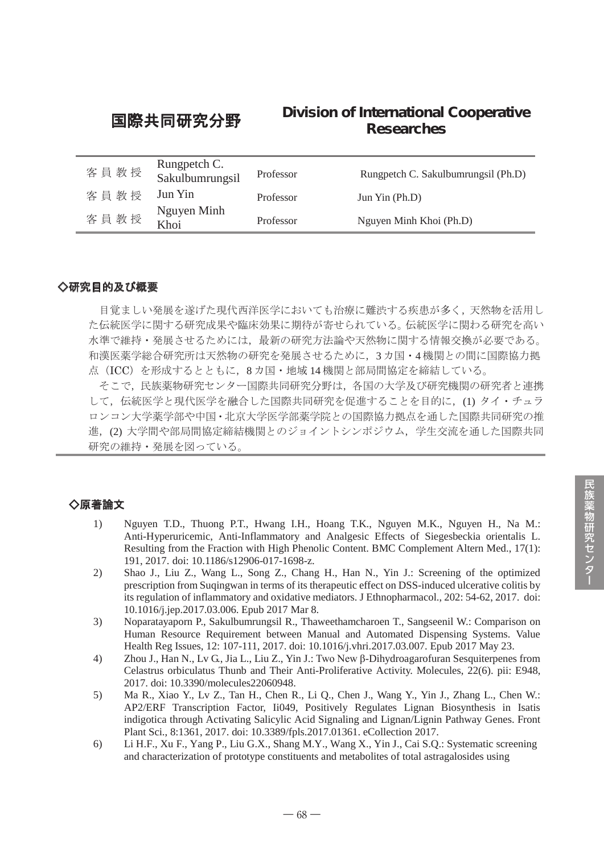# 国際共同研究分野 **Division of International Cooperative Researches**

| 客員教授 | Rungpetch C.<br>Sakulbumrungsil | Professor | Rungpetch C. Sakulbumrungsil (Ph.D) |
|------|---------------------------------|-----------|-------------------------------------|
| 客員教授 | Jun Yin                         | Professor | Jun $\text{Yin}$ (Ph.D)             |
| 客員教授 | Nguyen Minh<br>Khoi             | Professor | Nguyen Minh Khoi (Ph.D)             |

## ◇研究目的及び概要

目覚ましい発展を遂げた現代西洋医学においても治療に難渋する疾患が多く,天然物を活用し た伝統医学に関する研究成果や臨床効果に期待が寄せられている。伝統医学に関わる研究を高い 水準で維持・発展させるためには,最新の研究方法論や天然物に関する情報交換が必要である。 和漢医薬学総合研究所は天然物の研究を発展させるために,3 カ国・4 機関との間に国際協力拠 点(ICC)を形成するとともに,8 カ国・地域 14 機関と部局間協定を締結している。 そこで,民族薬物研究センター国際共同研究分野は,各国の大学及び研究機関の研究者と連携

して、伝統医学と現代医学を融合した国際共同研究を促進することを目的に、(1) タイ・チュラ ロンコン大学薬学部や中国・北京大学医学部薬学院との国際協力拠点を通した国際共同研究の推 進,(2) 大学間や部局間協定締結機関とのジョイントシンポジウム, 学生交流を通した国際共同 研究の維持・発展を図っている。

# ◇原著論文

- 1) Nguyen T.D., Thuong P.T., Hwang I.H., Hoang T.K., Nguyen M.K., Nguyen H., Na M.: Anti-Hyperuricemic, Anti-Inflammatory and Analgesic Effects of Siegesbeckia orientalis L. Resulting from the Fraction with High Phenolic Content. BMC Complement Altern Med., 17(1): 191, 2017. doi: 10.1186/s12906-017-1698-z.
- 2) Shao J., Liu Z., Wang L., Song Z., Chang H., Han N., Yin J.: Screening of the optimized prescription from Suqingwan in terms of its therapeutic effect on DSS-induced ulcerative colitis by its regulation of inflammatory and oxidative mediators. J Ethnopharmacol., 202: 54-62, 2017. doi: 10.1016/j.jep.2017.03.006. Epub 2017 Mar 8.
- 3) Noparatayaporn P., Sakulbumrungsil R., Thaweethamcharoen T., Sangseenil W.: Comparison on Human Resource Requirement between Manual and Automated Dispensing Systems. Value Health Reg Issues, 12: 107-111, 2017. doi: 10.1016/j.vhri.2017.03.007. Epub 2017 May 23.
- 4) Zhou J., Han N., Lv G., Jia L., Liu Z., Yin J.: Two New β-Dihydroagarofuran Sesquiterpenes from Celastrus orbiculatus Thunb and Their Anti-Proliferative Activity. Molecules, 22(6). pii: E948, 2017. doi: 10.3390/molecules22060948.
- 5) Ma R., Xiao Y., Lv Z., Tan H., Chen R., Li Q., Chen J., Wang Y., Yin J., Zhang L., Chen W.: AP2/ERF Transcription Factor, Ii049, Positively Regulates Lignan Biosynthesis in Isatis indigotica through Activating Salicylic Acid Signaling and Lignan/Lignin Pathway Genes. Front Plant Sci., 8:1361, 2017. doi: 10.3389/fpls.2017.01361. eCollection 2017.
- 6) Li H.F., Xu F., Yang P., Liu G.X., Shang M.Y., Wang X., Yin J., Cai S.Q.: Systematic screening and characterization of prototype constituents and metabolites of total astragalosides using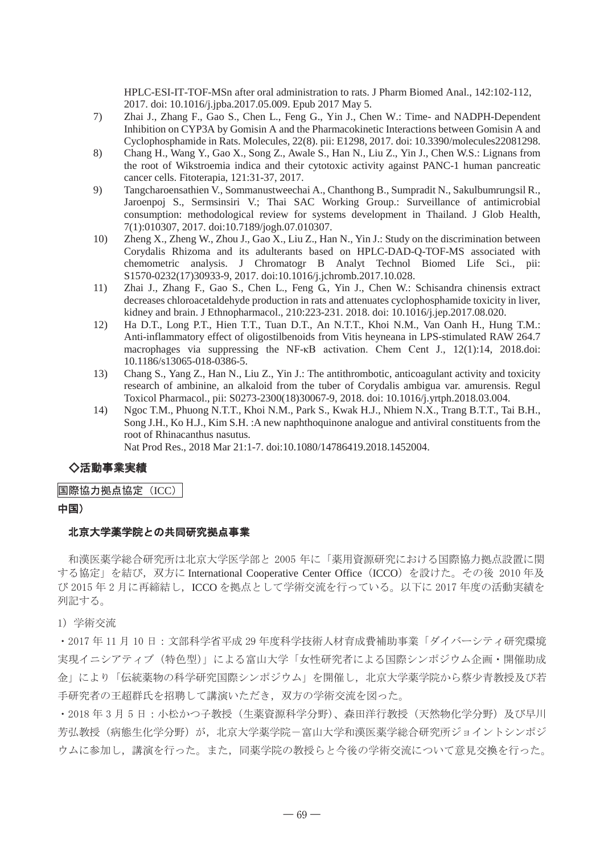HPLC-ESI-IT-TOF-MSn after oral administration to rats. J Pharm Biomed Anal., 142:102-112, 2017. doi: 10.1016/j.jpba.2017.05.009. Epub 2017 May 5.

- 7) Zhai J., Zhang F., Gao S., Chen L., Feng G., Yin J., Chen W.: Time- and NADPH-Dependent Inhibition on CYP3A by Gomisin A and the Pharmacokinetic Interactions between Gomisin A and Cyclophosphamide in Rats. Molecules, 22(8). pii: E1298, 2017. doi: 10.3390/molecules22081298.
- 8) Chang H., Wang Y., Gao X., Song Z., Awale S., Han N., Liu Z., Yin J., Chen W.S.: Lignans from the root of Wikstroemia indica and their cytotoxic activity against PANC-1 human pancreatic cancer cells. Fitoterapia, 121:31-37, 2017.
- 9) Tangcharoensathien V., Sommanustweechai A., Chanthong B., Sumpradit N., Sakulbumrungsil R., Jaroenpoj S., Sermsinsiri V.; Thai SAC Working Group.: Surveillance of antimicrobial consumption: methodological review for systems development in Thailand. J Glob Health, 7(1):010307, 2017. doi:10.7189/jogh.07.010307.
- 10) Zheng X., Zheng W., Zhou J., Gao X., Liu Z., Han N., Yin J.: Study on the discrimination between Corydalis Rhizoma and its adulterants based on HPLC-DAD-Q-TOF-MS associated with chemometric analysis. J Chromatogr B Analyt Technol Biomed Life Sci., pii: S1570-0232(17)30933-9, 2017. doi:10.1016/j.jchromb.2017.10.028.
- 11) Zhai J., Zhang F., Gao S., Chen L., Feng G., Yin J., Chen W.: Schisandra chinensis extract decreases chloroacetaldehyde production in rats and attenuates cyclophosphamide toxicity in liver, kidney and brain. J Ethnopharmacol., 210:223-231. 2018. doi: 10.1016/j.jep.2017.08.020.
- 12) Ha D.T., Long P.T., Hien T.T., Tuan D.T., An N.T.T., Khoi N.M., Van Oanh H., Hung T.M.: Anti-inflammatory effect of oligostilbenoids from Vitis heyneana in LPS-stimulated RAW 264.7 macrophages via suppressing the NF-κB activation. Chem Cent J., 12(1):14, 2018.doi: 10.1186/s13065-018-0386-5.
- 13) Chang S., Yang Z., Han N., Liu Z., Yin J.: The antithrombotic, anticoagulant activity and toxicity research of ambinine, an alkaloid from the tuber of Corydalis ambigua var. amurensis. Regul Toxicol Pharmacol., pii: S0273-2300(18)30067-9, 2018. doi: 10.1016/j.yrtph.2018.03.004.
- 14) Ngoc T.M., Phuong N.T.T., Khoi N.M., Park S., Kwak H.J., Nhiem N.X., Trang B.T.T., Tai B.H., Song J.H., Ko H.J., Kim S.H. :A new naphthoquinone analogue and antiviral constituents from the root of Rhinacanthus nasutus. Nat Prod Res., 2018 Mar 21:1-7. doi:10.1080/14786419.2018.1452004.

## ◇活動事業実績

## 国際協力拠点協定(ICC)

### 中国)

### 北京大学薬学院との共同研究拠点事業

和漢医薬学総合研究所は北京大学医学部と 2005 年に「薬用資源研究における国際協力拠点設置に関 する協定」を結び、双方に International Cooperative Center Office (ICCO) を設けた。その後 2010 年及 び 2015 年 2 月に再締結し,ICCO を拠点として学術交流を行っている。以下に 2017 年度の活動実績を 列記する。

#### 1) 学術交流

・2017 年 11 月 10 日:文部科学省平成 29 年度科学技術人材育成費補助事業「ダイバーシティ研究環境 実現イニシアティブ(特色型)」による富山大学「女性研究者による国際シンポジウム企画・開催助成 金」により「伝統薬物の科学研究国際シンポジウム」を開催し,北京大学薬学院から蔡少青教授及び若 手研究者の王超群氏を招聘して講演いただき,双方の学術交流を図った。

・2018 年 3 月 5 日:小松かつ子教授(生薬資源科学分野)、森田洋行教授(天然物化学分野)及び早川 芳弘教授(病態生化学分野)が,北京大学薬学院-富山大学和漢医薬学総合研究所ジョイントシンポジ ウムに参加し,講演を行った。また,同薬学院の教授らと今後の学術交流について意見交換を行った。